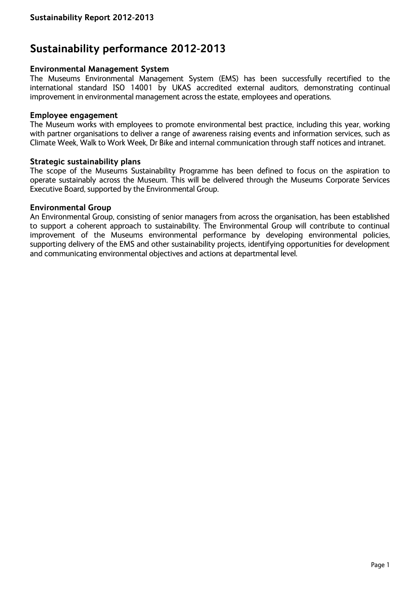# **Sustainability performance 2012-2013**

#### **Environmental Management System**

The Museums Environmental Management System (EMS) has been successfully recertified to the international standard ISO 14001 by UKAS accredited external auditors, demonstrating continual improvement in environmental management across the estate, employees and operations.

#### **Employee engagement**

The Museum works with employees to promote environmental best practice, including this year, working with partner organisations to deliver a range of awareness raising events and information services, such as Climate Week, Walk to Work Week, Dr Bike and internal communication through staff notices and intranet.

#### **Strategic sustainability plans**

The scope of the Museums Sustainability Programme has been defined to focus on the aspiration to operate sustainably across the Museum. This will be delivered through the Museums Corporate Services Executive Board, supported by the Environmental Group.

#### **Environmental Group**

An Environmental Group, consisting of senior managers from across the organisation, has been established to support a coherent approach to sustainability. The Environmental Group will contribute to continual improvement of the Museums environmental performance by developing environmental policies, supporting delivery of the EMS and other sustainability projects, identifying opportunities for development and communicating environmental objectives and actions at departmental level.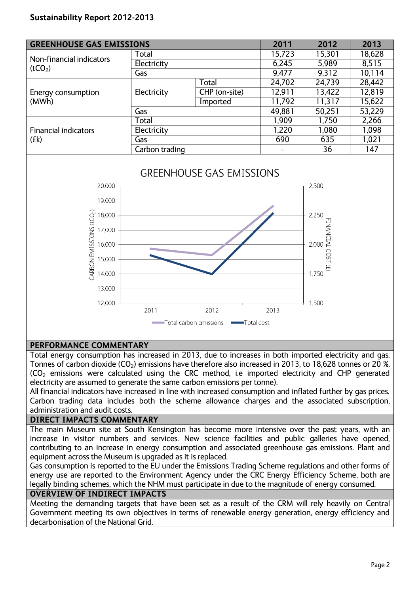## **Sustainability Report 2012-2013**

| <b>GREENHOUSE GAS EMISSIONS</b>                 |                |               | 2011                         | 2012   | 2013   |
|-------------------------------------------------|----------------|---------------|------------------------------|--------|--------|
| Non-financial indicators<br>(tCO <sub>2</sub> ) | Total          |               | 15,723                       | 15,301 | 18,628 |
|                                                 | Electricity    |               | 6,245                        | 5,989  | 8,515  |
|                                                 | Gas            |               | 9,477                        | 9,312  | 10,114 |
| Energy consumption<br>(MWh)                     | Electricity    | Total         | 24,702                       | 24,739 | 28,442 |
|                                                 |                | CHP (on-site) | 12,911                       | 13,422 | 12,819 |
|                                                 |                | Imported      | 11,792                       | 11,317 | 15,622 |
|                                                 | Gas            |               | 49,881                       | 50,251 | 53,229 |
| <b>Financial indicators</b><br>(fk)             | Total          |               | 1,909                        | 1,750  | 2,266  |
|                                                 | Electricity    |               | 1,220                        | 1,080  | 1,098  |
|                                                 | Gas            |               | 690                          | 635    | 1,021  |
|                                                 | Carbon trading |               | $\qquad \qquad \blacksquare$ | 36     | 147    |



# **GREENHOUSE GAS EMISSIONS**

### **PERFORMANCE COMMENTARY**

Total energy consumption has increased in 2013, due to increases in both imported electricity and gas. Tonnes of carbon dioxide (CO<sub>2</sub>) emissions have therefore also increased in 2013, to 18,628 tonnes or 20 %. (CO<sup>2</sup> emissions were calculated using the CRC method, i.e imported electricity and CHP generated electricity are assumed to generate the same carbon emissions per tonne).

All financial indicators have increased in line with increased consumption and inflated further by gas prices. Carbon trading data includes both the scheme allowance charges and the associated subscription, administration and audit costs.

#### **DIRECT IMPACTS COMMENTARY**

The main Museum site at South Kensington has become more intensive over the past years, with an increase in visitor numbers and services. New science facilities and public galleries have opened, contributing to an increase in energy consumption and associated greenhouse gas emissions. Plant and equipment across the Museum is upgraded as it is replaced.

Gas consumption is reported to the EU under the Emissions Trading Scheme regulations and other forms of energy use are reported to the Environment Agency under the CRC Energy Efficiency Scheme, both are legally binding schemes, which the NHM must participate in due to the magnitude of energy consumed.

#### **OVERVIEW OF INDIRECT IMPACTS**

Meeting the demanding targets that have been set as a result of the CRM will rely heavily on Central Government meeting its own objectives in terms of renewable energy generation, energy efficiency and decarbonisation of the National Grid.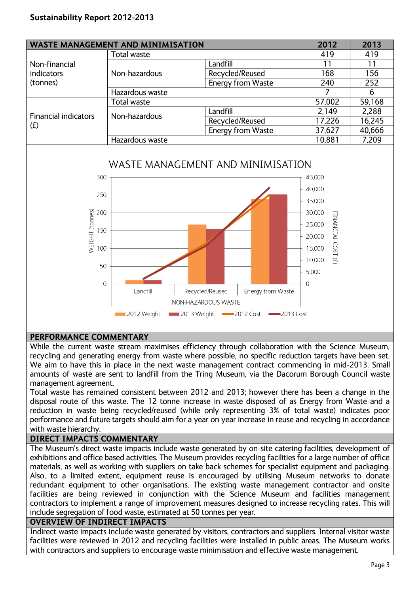| <b>WASTE MANAGEMENT AND MINIMISATION</b> |                 | 2012                     | 2013   |        |
|------------------------------------------|-----------------|--------------------------|--------|--------|
|                                          | Total waste     |                          | 419    | 419    |
| Non-financial<br>indicators              | Non-hazardous   | Landfill                 |        | 11     |
|                                          |                 | Recycled/Reused          | 168    | 156    |
| (tonnes)                                 |                 | <b>Energy from Waste</b> | 240    | 252    |
|                                          | Hazardous waste |                          |        | 6      |
| <b>Financial indicators</b><br>(f)       | Total waste     |                          | 57,002 | 59,168 |
|                                          | Non-hazardous   | Landfill                 | 2,149  | 2,288  |
|                                          |                 | Recycled/Reused          | 17,226 | 16,245 |
|                                          |                 | Energy from Waste        | 37,627 | 40,666 |
|                                          | Hazardous waste |                          | 10,881 | 7,209  |

## WASTE MANAGEMENT AND MINIMISATION



## **PERFORMANCE COMMENTARY**

While the current waste stream maximises efficiency through collaboration with the Science Museum, recycling and generating energy from waste where possible, no specific reduction targets have been set. We aim to have this in place in the next waste management contract commencing in mid-2013. Small amounts of waste are sent to landfill from the Tring Museum, via the Dacorum Borough Council waste management agreement.

Total waste has remained consistent between 2012 and 2013; however there has been a change in the disposal route of this waste. The 12 tonne increase in waste disposed of as Energy from Waste and a reduction in waste being recycled/reused (while only representing 3% of total waste) indicates poor performance and future targets should aim for a year on year increase in reuse and recycling in accordance with waste hierarchy.

## **DIRECT IMPACTS COMMENTARY**

The Museum's direct waste impacts include waste generated by on-site catering facilities, development of exhibitions and office based activities. The Museum provides recycling facilities for a large number of office materials, as well as working with suppliers on take back schemes for specialist equipment and packaging. Also, to a limited extent, equipment reuse is encouraged by utilising Museum networks to donate redundant equipment to other organisations. The existing waste management contractor and onsite facilities are being reviewed in conjunction with the Science Museum and facilities management contractors to implement a range of improvement measures designed to increase recycling rates. This will include segregation of food waste, estimated at 50 tonnes per year.

### **OVERVIEW OF INDIRECT IMPACTS**

Indirect waste impacts include waste generated by visitors, contractors and suppliers. Internal visitor waste facilities were reviewed in 2012 and recycling facilities were installed in public areas. The Museum works with contractors and suppliers to encourage waste minimisation and effective waste management.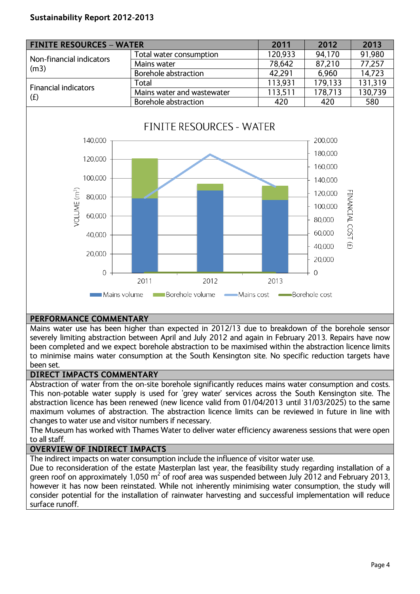

## **PERFORMANCE COMMENTARY**

Mains water use has been higher than expected in 2012/13 due to breakdown of the borehole sensor severely limiting abstraction between April and July 2012 and again in February 2013. Repairs have now been completed and we expect borehole abstraction to be maximised within the abstraction licence limits to minimise mains water consumption at the South Kensington site. No specific reduction targets have been set.

## **DIRECT IMPACTS COMMENTARY**

Abstraction of water from the on-site borehole significantly reduces mains water consumption and costs. This non-potable water supply is used for 'grey water' services across the South Kensington site. The abstraction licence has been renewed (new licence valid from 01/04/2013 until 31/03/2025) to the same maximum volumes of abstraction. The abstraction licence limits can be reviewed in future in line with changes to water use and visitor numbers if necessary.

The Museum has worked with Thames Water to deliver water efficiency awareness sessions that were open to all staff.

## **OVERVIEW OF INDIRECT IMPACTS**

The indirect impacts on water consumption include the influence of visitor water use.

Due to reconsideration of the estate Masterplan last year, the feasibility study regarding installation of a green roof on approximately 1,050 m<sup>2</sup> of roof area was suspended between July 2012 and February 2013, however it has now been reinstated. While not inherently minimising water consumption, the study will consider potential for the installation of rainwater harvesting and successful implementation will reduce surface runoff.